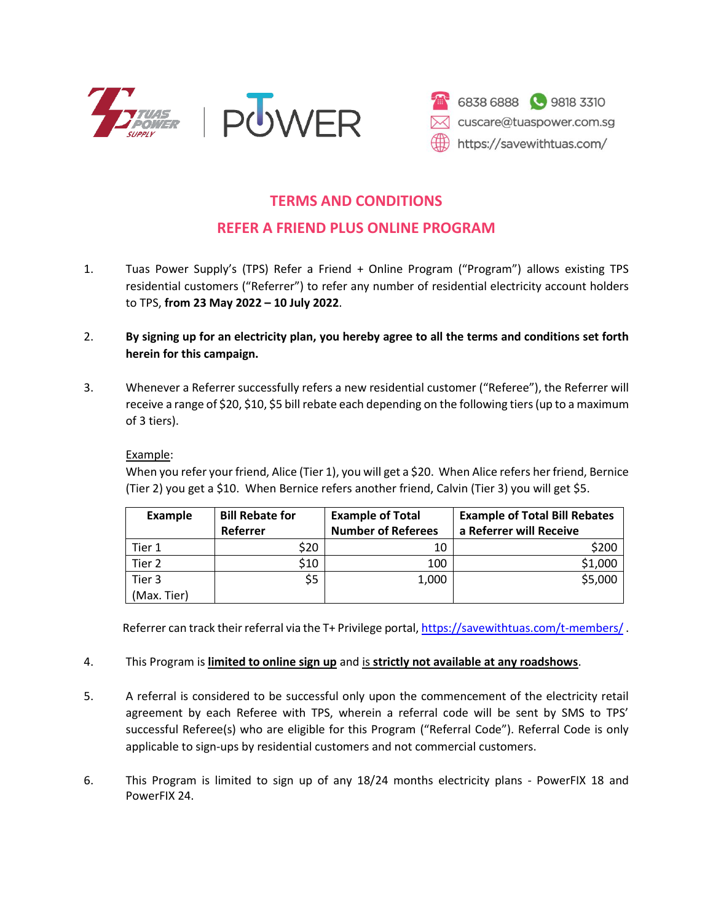



## **TERMS AND CONDITIONS**

## **REFER A FRIEND PLUS ONLINE PROGRAM**

- 1. Tuas Power Supply's (TPS) Refer a Friend + Online Program ("Program") allows existing TPS residential customers ("Referrer") to refer any number of residential electricity account holders to TPS, **from 23 May 2022 – 10 July 2022**.
- 2. **By signing up for an electricity plan, you hereby agree to all the terms and conditions set forth herein for this campaign.**
- 3. Whenever a Referrer successfully refers a new residential customer ("Referee"), the Referrer will receive a range of \$20, \$10, \$5 bill rebate each depending on the following tiers (up to a maximum of 3 tiers).

## Example:

When you refer your friend, Alice (Tier 1), you will get a \$20. When Alice refers her friend, Bernice (Tier 2) you get a \$10. When Bernice refers another friend, Calvin (Tier 3) you will get \$5.

| <b>Example</b> | <b>Bill Rebate for</b> | <b>Example of Total</b>   | <b>Example of Total Bill Rebates</b> |
|----------------|------------------------|---------------------------|--------------------------------------|
|                | Referrer               | <b>Number of Referees</b> | a Referrer will Receive              |
| Tier 1         | \$20                   |                           | \$200                                |
| Tier 2         | \$10                   | 100                       | \$1,000                              |
| Tier 3         | \$5                    | 1,000                     | \$5,000                              |
| (Max. Tier)    |                        |                           |                                      |

Referrer can track their referral via the T+ Privilege portal[, https://savewithtuas.com/t-members/](https://savewithtuas.com/t-members/).

## 4. This Program is **limited to online sign up** and is **strictly not available at any roadshows**.

- 5. A referral is considered to be successful only upon the commencement of the electricity retail agreement by each Referee with TPS, wherein a referral code will be sent by SMS to TPS' successful Referee(s) who are eligible for this Program ("Referral Code"). Referral Code is only applicable to sign-ups by residential customers and not commercial customers.
- 6. This Program is limited to sign up of any 18/24 months electricity plans PowerFIX 18 and PowerFIX 24.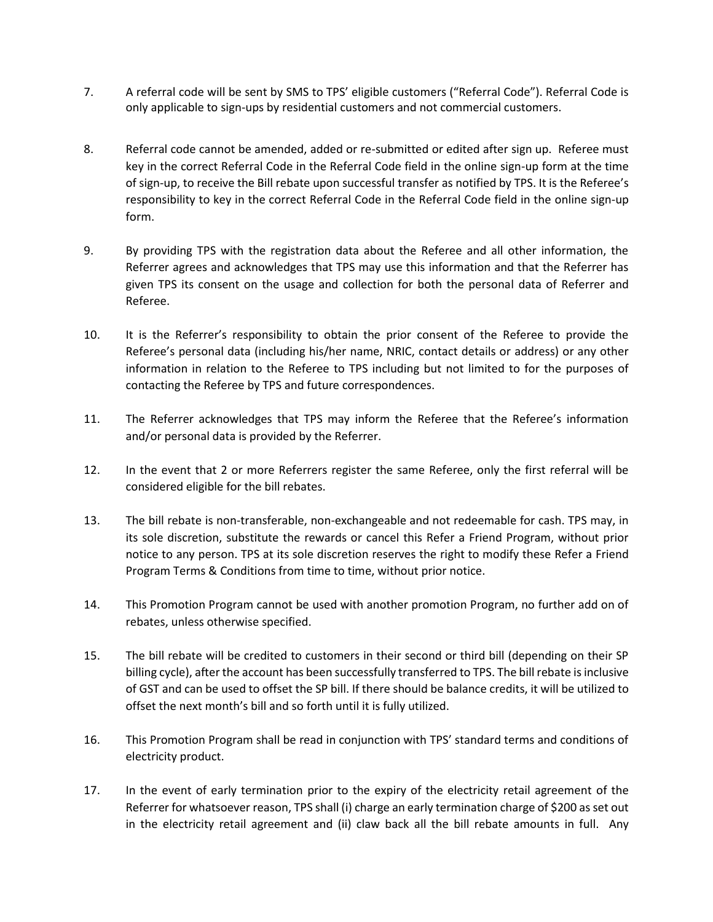- 7. A referral code will be sent by SMS to TPS' eligible customers ("Referral Code"). Referral Code is only applicable to sign-ups by residential customers and not commercial customers.
- 8. Referral code cannot be amended, added or re-submitted or edited after sign up. Referee must key in the correct Referral Code in the Referral Code field in the online sign-up form at the time of sign-up, to receive the Bill rebate upon successful transfer as notified by TPS. It is the Referee's responsibility to key in the correct Referral Code in the Referral Code field in the online sign-up form.
- 9. By providing TPS with the registration data about the Referee and all other information, the Referrer agrees and acknowledges that TPS may use this information and that the Referrer has given TPS its consent on the usage and collection for both the personal data of Referrer and Referee.
- 10. It is the Referrer's responsibility to obtain the prior consent of the Referee to provide the Referee's personal data (including his/her name, NRIC, contact details or address) or any other information in relation to the Referee to TPS including but not limited to for the purposes of contacting the Referee by TPS and future correspondences.
- 11. The Referrer acknowledges that TPS may inform the Referee that the Referee's information and/or personal data is provided by the Referrer.
- 12. In the event that 2 or more Referrers register the same Referee, only the first referral will be considered eligible for the bill rebates.
- 13. The bill rebate is non-transferable, non-exchangeable and not redeemable for cash. TPS may, in its sole discretion, substitute the rewards or cancel this Refer a Friend Program, without prior notice to any person. TPS at its sole discretion reserves the right to modify these Refer a Friend Program Terms & Conditions from time to time, without prior notice.
- 14. This Promotion Program cannot be used with another promotion Program, no further add on of rebates, unless otherwise specified.
- 15. The bill rebate will be credited to customers in their second or third bill (depending on their SP billing cycle), after the account has been successfully transferred to TPS. The bill rebate is inclusive of GST and can be used to offset the SP bill. If there should be balance credits, it will be utilized to offset the next month's bill and so forth until it is fully utilized.
- 16. This Promotion Program shall be read in conjunction with TPS' standard terms and conditions of electricity product.
- 17. In the event of early termination prior to the expiry of the electricity retail agreement of the Referrer for whatsoever reason, TPS shall (i) charge an early termination charge of \$200 as set out in the electricity retail agreement and (ii) claw back all the bill rebate amounts in full. Any